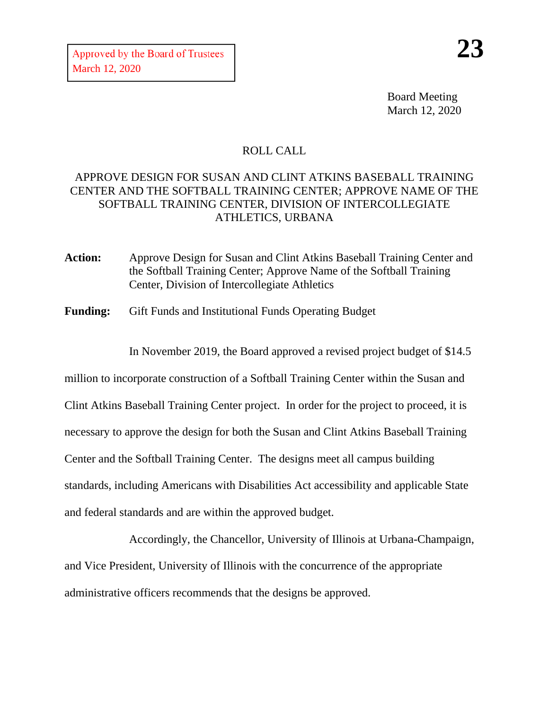Board Meeting March 12, 2020

## ROLL CALL

## APPROVE DESIGN FOR SUSAN AND CLINT ATKINS BASEBALL TRAINING CENTER AND THE SOFTBALL TRAINING CENTER; APPROVE NAME OF THE SOFTBALL TRAINING CENTER, DIVISION OF INTERCOLLEGIATE ATHLETICS, URBANA

- **Action:** Approve Design for Susan and Clint Atkins Baseball Training Center and the Softball Training Center; Approve Name of the Softball Training Center, Division of Intercollegiate Athletics
- **Funding:** Gift Funds and Institutional Funds Operating Budget

In November 2019, the Board approved a revised project budget of \$14.5

million to incorporate construction of a Softball Training Center within the Susan and Clint Atkins Baseball Training Center project. In order for the project to proceed, it is necessary to approve the design for both the Susan and Clint Atkins Baseball Training Center and the Softball Training Center. The designs meet all campus building standards, including Americans with Disabilities Act accessibility and applicable State and federal standards and are within the approved budget.

Accordingly, the Chancellor, University of Illinois at Urbana-Champaign, and Vice President, University of Illinois with the concurrence of the appropriate administrative officers recommends that the designs be approved.